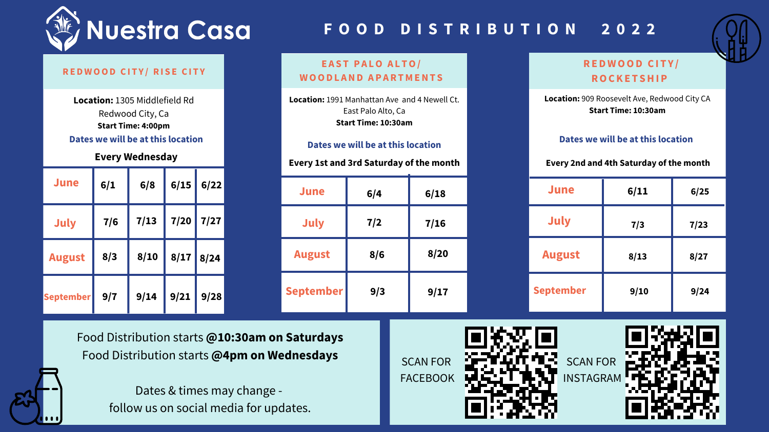# **F O O D D I S T R I B U T I O N 2 0 2 2**



## **RED W OOD C I T Y / RI S E C I T Y**

# **E A S T P A LO A L TO/ W OODL AND A P ARTMENT S**

# **RED W OOD C I T Y / ROCKE T SHI P**

Food Distribution starts **@10:30am on Saturdays** Food Distribution starts **@4pm on Wednesdays**

> Dates & times may change follow us on social media for updates.

**Location:** 1991 Manhattan Ave and 4 Newell Ct. East Palo Alto, Ca **Start Time: 10:30am**

**Location:** 1305 Middlefield Rd Redwood City, Ca **Start Time: 4:00pm Dates we will be at this location** **Location:** 909 Roosevelt Ave, Redwood City CA **Start Time: 10:30am**

| <b>June</b>      | 6/1 | 6/8  | 6/15 | 6/22 |
|------------------|-----|------|------|------|
| July             | 7/6 | 7/13 | 7/20 | 7/27 |
| <b>August</b>    | 8/3 | 8/10 | 8/17 | 8/24 |
| <b>September</b> | 9/7 | 9/14 | 9/21 | 9/28 |

## **Every Wednesday**

| <b>June</b>      | 6/11 | 6/25 |
|------------------|------|------|
| <b>July</b>      | 7/3  | 7/23 |
| <b>August</b>    | 8/13 | 8/27 |
| <b>September</b> | 9/10 | 9/24 |

| June             | 6/4   | 6/18 |  |
|------------------|-------|------|--|
| <b>July</b>      | $7/2$ | 7/16 |  |
| <b>August</b>    | 8/6   | 8/20 |  |
| <b>September</b> | 9/3   | 9/17 |  |

## **Every 1st and 3rd Saturday of the month Every 2nd and 4th Saturday of the month**

#### **Dates we will be at this location**

## **Dates we will be at this location**

SCAN FOR

FACEBOOK